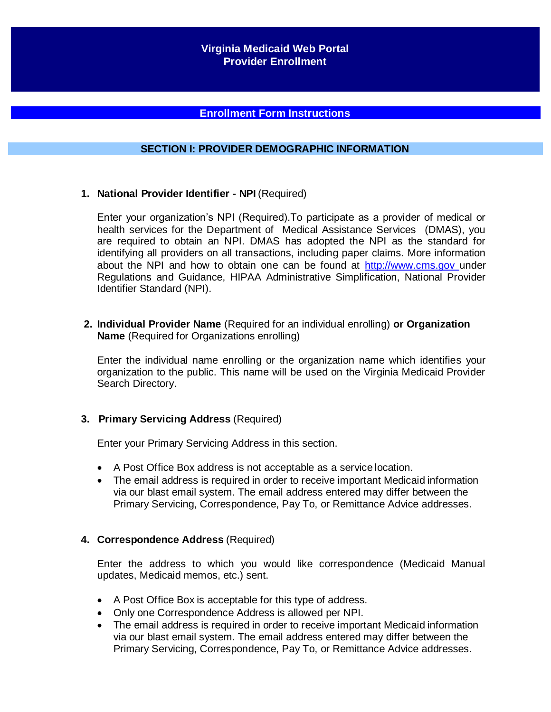### **Enrollment Form Instructions**

### **SECTION I: PROVIDER DEMOGRAPHIC INFORMATION**

**1. National Provider Identifier - NPI** (Required)

Enter your organization's NPI (Required).To participate as a provider of medical or health services for the Department of Medical Assistance Services (DMAS), you are required to obtain an NPI. DMAS has adopted the NPI as the standard for identifying all providers on all transactions, including paper claims. More information about the NPI and how to obtain one can be found at [http://www.cms.gov](http://www.cms.gov/) under Regulations and Guidance, HIPAA Administrative Simplification, National Provider Identifier Standard (NPI).

**2. Individual Provider Name** (Required for an individual enrolling) **or Organization Name** (Required for Organizations enrolling)

Enter the individual name enrolling or the organization name which identifies your organization to the public. This name will be used on the Virginia Medicaid Provider Search Directory.

#### **3. Primary Servicing Address** (Required)

Enter your Primary Servicing Address in this section.

- A Post Office Box address is not acceptable as a service location.
- The email address is required in order to receive important Medicaid information via our blast email system. The email address entered may differ between the Primary Servicing, Correspondence, Pay To, or Remittance Advice addresses.

#### **4. Correspondence Address** (Required)

Enter the address to which you would like correspondence (Medicaid Manual updates, Medicaid memos, etc.) sent.

- A Post Office Box is acceptable for this type of address.
- Only one Correspondence Address is allowed per NPI.
- The email address is required in order to receive important Medicaid information via our blast email system. The email address entered may differ between the Primary Servicing, Correspondence, Pay To, or Remittance Advice addresses.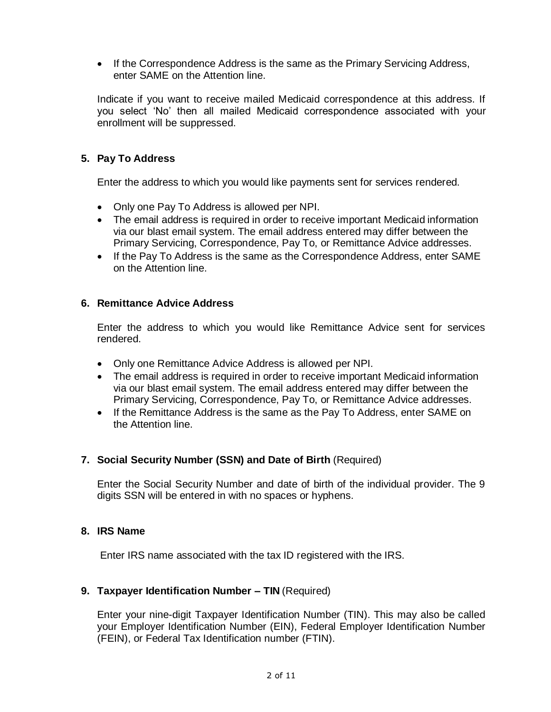• If the Correspondence Address is the same as the Primary Servicing Address, enter SAME on the Attention line.

Indicate if you want to receive mailed Medicaid correspondence at this address. If you select 'No' then all mailed Medicaid correspondence associated with your enrollment will be suppressed.

# **5. Pay To Address**

Enter the address to which you would like payments sent for services rendered.

- Only one Pay To Address is allowed per NPI.
- The email address is required in order to receive important Medicaid information via our blast email system. The email address entered may differ between the Primary Servicing, Correspondence, Pay To, or Remittance Advice addresses.
- If the Pay To Address is the same as the Correspondence Address, enter SAME on the Attention line.

### **6. Remittance Advice Address**

Enter the address to which you would like Remittance Advice sent for services rendered.

- Only one Remittance Advice Address is allowed per NPI.
- The email address is required in order to receive important Medicaid information via our blast email system. The email address entered may differ between the Primary Servicing, Correspondence, Pay To, or Remittance Advice addresses.
- If the Remittance Address is the same as the Pay To Address, enter SAME on the Attention line.

## **7. Social Security Number (SSN) and Date of Birth** (Required)

Enter the Social Security Number and date of birth of the individual provider. The 9 digits SSN will be entered in with no spaces or hyphens.

### **8. IRS Name**

Enter IRS name associated with the tax ID registered with the IRS.

### **9. Taxpayer Identification Number – TIN** (Required)

Enter your nine-digit Taxpayer Identification Number (TIN). This may also be called your Employer Identification Number (EIN), Federal Employer Identification Number (FEIN), or Federal Tax Identification number (FTIN).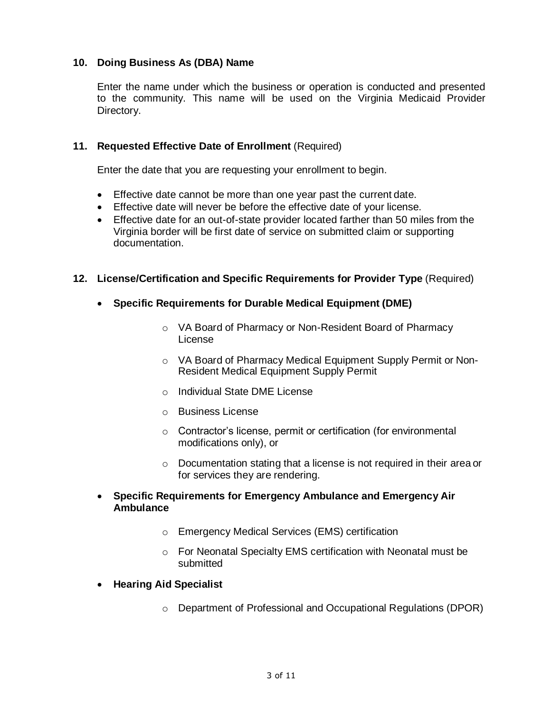### **10. Doing Business As (DBA) Name**

Enter the name under which the business or operation is conducted and presented to the community. This name will be used on the Virginia Medicaid Provider Directory.

### **11. Requested Effective Date of Enrollment** (Required)

Enter the date that you are requesting your enrollment to begin.

- Effective date cannot be more than one year past the current date.
- Effective date will never be before the effective date of your license.
- Effective date for an out-of-state provider located farther than 50 miles from the Virginia border will be first date of service on submitted claim or supporting documentation.

### **12. License/Certification and Specific Requirements for Provider Type** (Required)

- **Specific Requirements for Durable Medical Equipment (DME)**
	- o VA Board of Pharmacy or Non-Resident Board of Pharmacy License
	- o VA Board of Pharmacy Medical Equipment Supply Permit or Non-Resident Medical Equipment Supply Permit
	- o Individual State DME License
	- o Business License
	- o Contractor's license, permit or certification (for environmental modifications only), or
	- $\circ$  Documentation stating that a license is not required in their area or for services they are rendering.
- **Specific Requirements for Emergency Ambulance and Emergency Air Ambulance**
	- o Emergency Medical Services (EMS) certification
	- o For Neonatal Specialty EMS certification with Neonatal must be submitted
- **Hearing Aid Specialist**
	- o Department of Professional and Occupational Regulations (DPOR)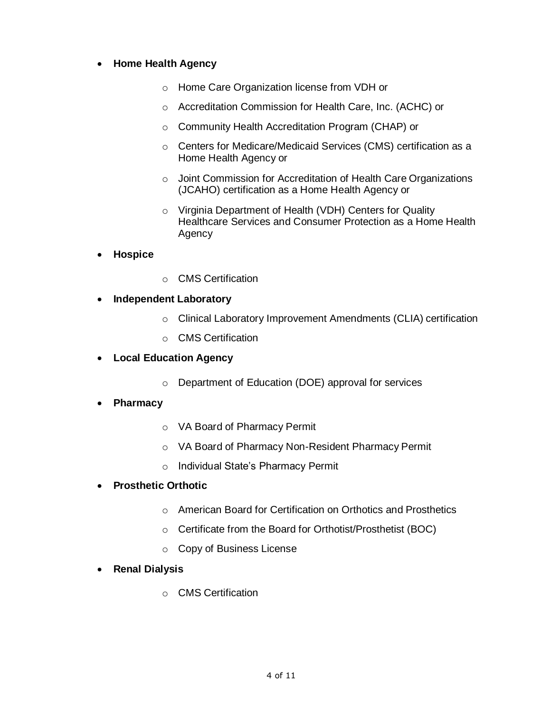## **Home Health Agency**

- o Home Care Organization license from VDH or
- o Accreditation Commission for Health Care, Inc. (ACHC) or
- o Community Health Accreditation Program (CHAP) or
- o Centers for Medicare/Medicaid Services (CMS) certification as a Home Health Agency or
- o Joint Commission for Accreditation of Health Care Organizations (JCAHO) certification as a Home Health Agency or
- o Virginia Department of Health (VDH) Centers for Quality Healthcare Services and Consumer Protection as a Home Health Agency
- **Hospice**
- o CMS Certification
- **Independent Laboratory**
	- o Clinical Laboratory Improvement Amendments (CLIA) certification
	- o CMS Certification
- **Local Education Agency**
	- o Department of Education (DOE) approval for services
- **Pharmacy**
	- o VA Board of Pharmacy Permit
	- o VA Board of Pharmacy Non-Resident Pharmacy Permit
	- o Individual State's Pharmacy Permit
- **Prosthetic Orthotic**
	- o American Board for Certification on Orthotics and Prosthetics
	- o Certificate from the Board for Orthotist/Prosthetist (BOC)
	- o Copy of Business License
- **Renal Dialysis**
	- o CMS Certification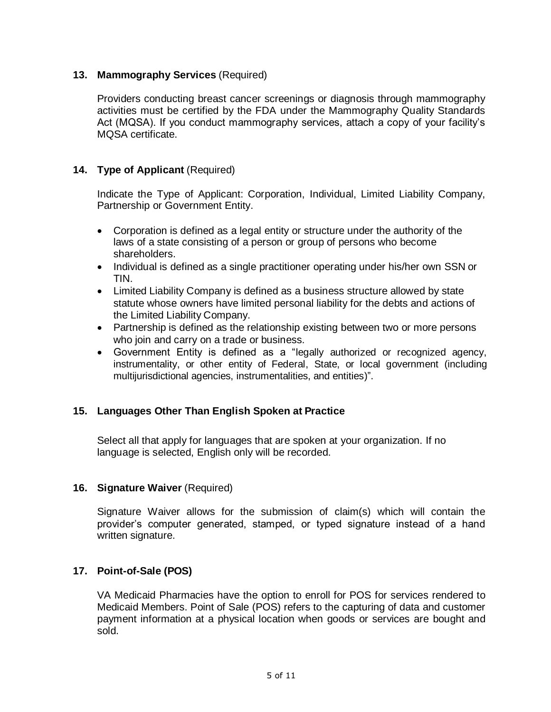## **13. Mammography Services** (Required)

Providers conducting breast cancer screenings or diagnosis through mammography activities must be certified by the FDA under the Mammography Quality Standards Act (MQSA). If you conduct mammography services, attach a copy of your facility's MQSA certificate.

### **14. Type of Applicant** (Required)

Indicate the Type of Applicant: Corporation, Individual, Limited Liability Company, Partnership or Government Entity.

- Corporation is defined as a legal entity or structure under the authority of the laws of a state consisting of a person or group of persons who become shareholders.
- Individual is defined as a single practitioner operating under his/her own SSN or TIN.
- Limited Liability Company is defined as a business structure allowed by state statute whose owners have limited personal liability for the debts and actions of the Limited Liability Company.
- Partnership is defined as the relationship existing between two or more persons who join and carry on a trade or business.
- Government Entity is defined as a "legally authorized or recognized agency, instrumentality, or other entity of Federal, State, or local government (including multijurisdictional agencies, instrumentalities, and entities)".

## **15. Languages Other Than English Spoken at Practice**

Select all that apply for languages that are spoken at your organization. If no language is selected, English only will be recorded.

### **16. Signature Waiver** (Required)

Signature Waiver allows for the submission of claim(s) which will contain the provider's computer generated, stamped, or typed signature instead of a hand written signature.

### **17. Point-of-Sale (POS)**

VA Medicaid Pharmacies have the option to enroll for POS for services rendered to Medicaid Members. Point of Sale (POS) refers to the capturing of data and customer payment information at a physical location when goods or services are bought and sold.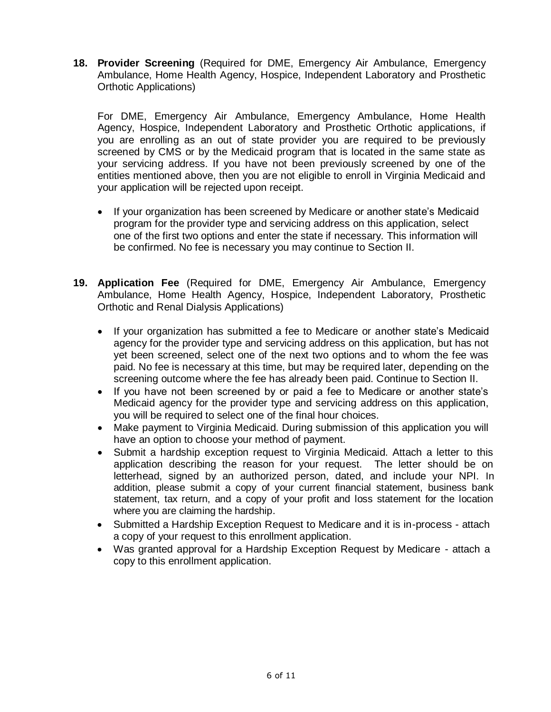**18. Provider Screening** (Required for DME, Emergency Air Ambulance, Emergency Ambulance, Home Health Agency, Hospice, Independent Laboratory and Prosthetic Orthotic Applications)

For DME, Emergency Air Ambulance, Emergency Ambulance, Home Health Agency, Hospice, Independent Laboratory and Prosthetic Orthotic applications, if you are enrolling as an out of state provider you are required to be previously screened by CMS or by the Medicaid program that is located in the same state as your servicing address. If you have not been previously screened by one of the entities mentioned above, then you are not eligible to enroll in Virginia Medicaid and your application will be rejected upon receipt.

- If your organization has been screened by Medicare or another state's Medicaid program for the provider type and servicing address on this application, select one of the first two options and enter the state if necessary. This information will be confirmed. No fee is necessary you may continue to Section II.
- **19. Application Fee** (Required for DME, Emergency Air Ambulance, Emergency Ambulance, Home Health Agency, Hospice, Independent Laboratory, Prosthetic Orthotic and Renal Dialysis Applications)
	- If your organization has submitted a fee to Medicare or another state's Medicaid agency for the provider type and servicing address on this application, but has not yet been screened, select one of the next two options and to whom the fee was paid. No fee is necessary at this time, but may be required later, depending on the screening outcome where the fee has already been paid. Continue to Section II.
	- If you have not been screened by or paid a fee to Medicare or another state's Medicaid agency for the provider type and servicing address on this application, you will be required to select one of the final hour choices.
	- Make payment to Virginia Medicaid. During submission of this application you will have an option to choose your method of payment.
	- Submit a hardship exception request to Virginia Medicaid. Attach a letter to this application describing the reason for your request. The letter should be on letterhead, signed by an authorized person, dated, and include your NPI. In addition, please submit a copy of your current financial statement, business bank statement, tax return, and a copy of your profit and loss statement for the location where you are claiming the hardship.
	- Submitted a Hardship Exception Request to Medicare and it is in-process attach a copy of your request to this enrollment application.
	- Was granted approval for a Hardship Exception Request by Medicare attach a copy to this enrollment application.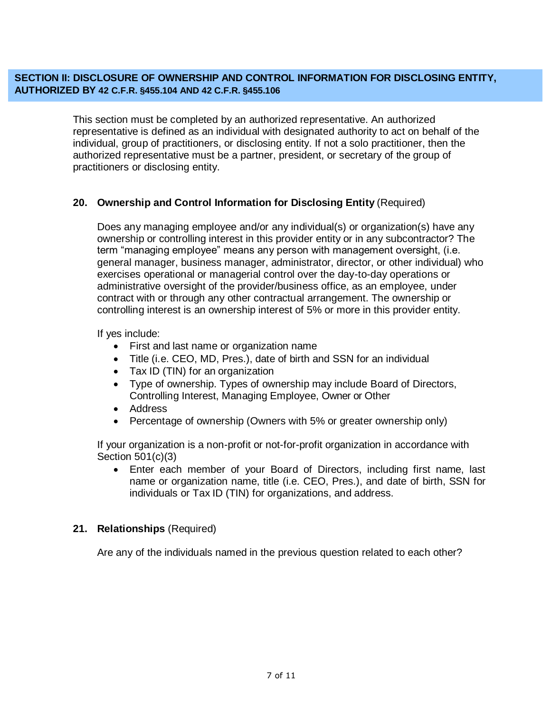### **SECTION II: DISCLOSURE OF OWNERSHIP AND CONTROL INFORMATION FOR DISCLOSING ENTITY, AUTHORIZED BY 42 C.F.R. §455.104 AND 42 C.F.R. §455.106**

This section must be completed by an authorized representative. An authorized representative is defined as an individual with designated authority to act on behalf of the individual, group of practitioners, or disclosing entity. If not a solo practitioner, then the authorized representative must be a partner, president, or secretary of the group of practitioners or disclosing entity.

## **20. Ownership and Control Information for Disclosing Entity** (Required)

Does any managing employee and/or any individual(s) or organization(s) have any ownership or controlling interest in this provider entity or in any subcontractor? The term "managing employee" means any person with management oversight, (i.e. general manager, business manager, administrator, director, or other individual) who exercises operational or managerial control over the day-to-day operations or administrative oversight of the provider/business office, as an employee, under contract with or through any other contractual arrangement. The ownership or controlling interest is an ownership interest of 5% or more in this provider entity.

If yes include:

- First and last name or organization name
- Title (i.e. CEO, MD, Pres.), date of birth and SSN for an individual
- Tax ID (TIN) for an organization
- Type of ownership. Types of ownership may include Board of Directors, Controlling Interest, Managing Employee, Owner or Other
- Address
- Percentage of ownership (Owners with 5% or greater ownership only)

If your organization is a non-profit or not-for-profit organization in accordance with Section 501(c)(3)

 Enter each member of your Board of Directors, including first name, last name or organization name, title (i.e. CEO, Pres.), and date of birth, SSN for individuals or Tax ID (TIN) for organizations, and address.

### **21. Relationships** (Required)

Are any of the individuals named in the previous question related to each other?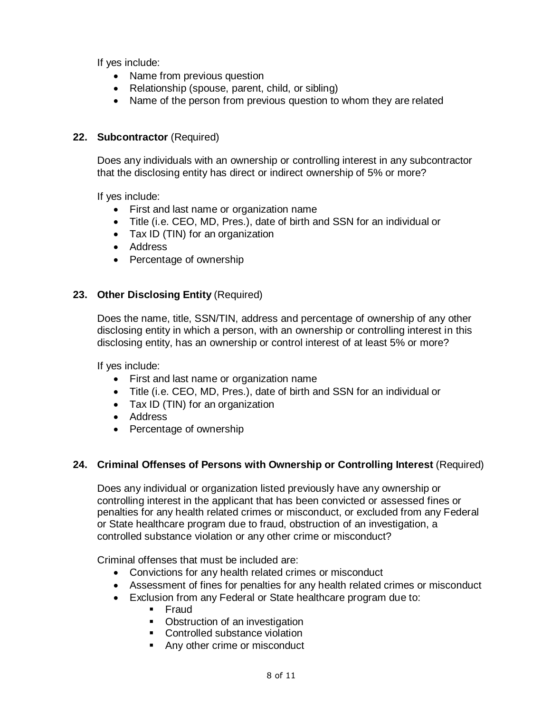If yes include:

- Name from previous question
- Relationship (spouse, parent, child, or sibling)
- Name of the person from previous question to whom they are related

## **22. Subcontractor** (Required)

Does any individuals with an ownership or controlling interest in any subcontractor that the disclosing entity has direct or indirect ownership of 5% or more?

If yes include:

- First and last name or organization name
- Title (i.e. CEO, MD, Pres.), date of birth and SSN for an individual or
- Tax ID (TIN) for an organization
- Address
- Percentage of ownership

### **23. Other Disclosing Entity** (Required)

Does the name, title, SSN/TIN, address and percentage of ownership of any other disclosing entity in which a person, with an ownership or controlling interest in this disclosing entity, has an ownership or control interest of at least 5% or more?

If yes include:

- First and last name or organization name
- Title (i.e. CEO, MD, Pres.), date of birth and SSN for an individual or
- Tax ID (TIN) for an organization
- Address
- Percentage of ownership

## **24. Criminal Offenses of Persons with Ownership or Controlling Interest** (Required)

Does any individual or organization listed previously have any ownership or controlling interest in the applicant that has been convicted or assessed fines or penalties for any health related crimes or misconduct, or excluded from any Federal or State healthcare program due to fraud, obstruction of an investigation, a controlled substance violation or any other crime or misconduct?

Criminal offenses that must be included are:

- Convictions for any health related crimes or misconduct
- Assessment of fines for penalties for any health related crimes or misconduct
- Exclusion from any Federal or State healthcare program due to:
	- Fraud
	- Obstruction of an investigation
	- Controlled substance violation
	- **Any other crime or misconduct**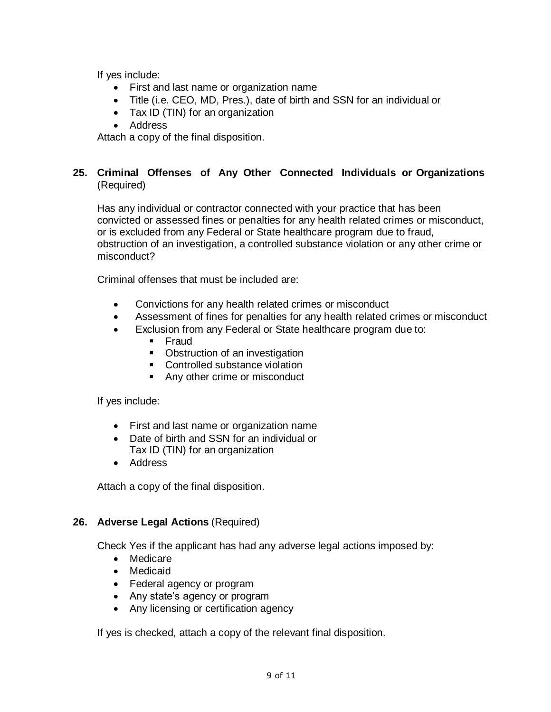If yes include:

- First and last name or organization name
- Title (i.e. CEO, MD, Pres.), date of birth and SSN for an individual or
- Tax ID (TIN) for an organization
- Address

Attach a copy of the final disposition.

### **25. Criminal Offenses of Any Other Connected Individuals or Organizations** (Required)

Has any individual or contractor connected with your practice that has been convicted or assessed fines or penalties for any health related crimes or misconduct, or is excluded from any Federal or State healthcare program due to fraud, obstruction of an investigation, a controlled substance violation or any other crime or misconduct?

Criminal offenses that must be included are:

- Convictions for any health related crimes or misconduct
- Assessment of fines for penalties for any health related crimes or misconduct
- Exclusion from any Federal or State healthcare program due to:
	- **Fraud**
	- Obstruction of an investigation
	- Controlled substance violation
	- Any other crime or misconduct

If yes include:

- First and last name or organization name
- Date of birth and SSN for an individual or Tax ID (TIN) for an organization
- Address

Attach a copy of the final disposition.

### **26. Adverse Legal Actions** (Required)

Check Yes if the applicant has had any adverse legal actions imposed by:

- Medicare
- Medicaid
- Federal agency or program
- Any state's agency or program
- Any licensing or certification agency

If yes is checked, attach a copy of the relevant final disposition.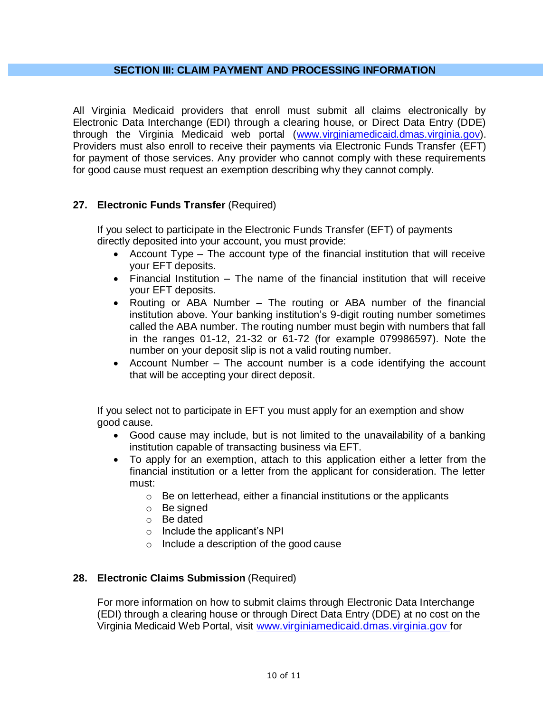#### **SECTION III: CLAIM PAYMENT AND PROCESSING INFORMATION**

All Virginia Medicaid providers that enroll must submit all claims electronically by Electronic Data Interchange (EDI) through a clearing house, or Direct Data Entry (DDE) through the Virginia Medicaid web portal [\(www.virginiamedicaid.dmas.virginia.gov\)](http://www.virginiamedicaid.dmas.virginia.gov/). Providers must also enroll to receive their payments via Electronic Funds Transfer (EFT) for payment of those services. Any provider who cannot comply with these requirements for good cause must request an exemption describing why they cannot comply.

### **27. Electronic Funds Transfer** (Required)

If you select to participate in the Electronic Funds Transfer (EFT) of payments directly deposited into your account, you must provide:

- Account Type The account type of the financial institution that will receive your EFT deposits.
- $\bullet$  Financial Institution The name of the financial institution that will receive your EFT deposits.
- Routing or ABA Number The routing or ABA number of the financial institution above. Your banking institution's 9-digit routing number sometimes called the ABA number. The routing number must begin with numbers that fall in the ranges 01-12, 21-32 or 61-72 (for example 079986597). Note the number on your deposit slip is not a valid routing number.
- Account Number The account number is a code identifying the account that will be accepting your direct deposit.

If you select not to participate in EFT you must apply for an exemption and show good cause.

- Good cause may include, but is not limited to the unavailability of a banking institution capable of transacting business via EFT.
- To apply for an exemption, attach to this application either a letter from the financial institution or a letter from the applicant for consideration. The letter must:
	- o Be on letterhead, either a financial institutions or the applicants
	- o Be signed
	- o Be dated
	- o Include the applicant's NPI
	- o Include a description of the good cause

### **28. Electronic Claims Submission** (Required)

For more information on how to submit claims through Electronic Data Interchange (EDI) through a clearing house or through Direct Data Entry (DDE) at no cost on the Virginia Medicaid Web Portal, visit [www.virginiamedicaid.dmas.virginia.gov](http://www.virginiamedicaid.dmas.virginia.gov/) for